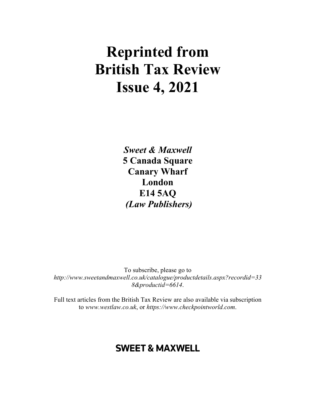# **Reprinted from British Tax Review Issue 4, 2021**

*Sweet & Maxwell*  **5 Canada Square Canary Wharf London E14 5AQ**   *(Law Publishers)* 

To subscribe, please go to *http://www.sweetandmaxwell.co.uk/catalogue/productdetails.aspx?recordid=33 8&productid=6614*.

Full text articles from the British Tax Review are also available via subscription to *www.westlaw.co.uk*, or *https://www.checkpointworld.com*.

## **SWEET & MAXWELL**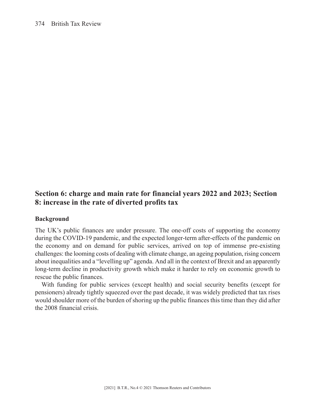### **Section 6: charge and main rate for financial years 2022 and 2023; Section 8: increase in the rate of diverted profits tax**

#### **Background**

The UK's public finances are under pressure. The one-off costs of supporting the economy during the COVID-19 pandemic, and the expected longer-term after-effects of the pandemic on the economy and on demand for public services, arrived on top of immense pre-existing challenges: the looming costs of dealing with climate change, an ageing population, rising concern about inequalities and a "levelling up" agenda. And all in the context of Brexit and an apparently long-term decline in productivity growth which make it harder to rely on economic growth to rescue the public finances.

With funding for public services (except health) and social security benefits (except for pensioners) already tightly squeezed over the past decade, it was widely predicted that tax rises would shoulder more of the burden of shoring up the public finances this time than they did after the 2008 financial crisis.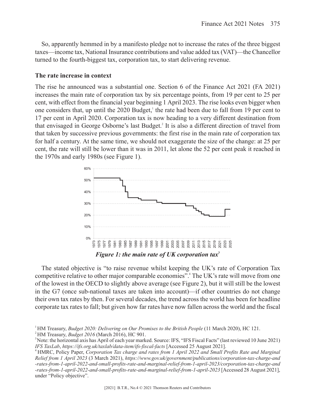So, apparently hemmed in by a manifesto pledge not to increase the rates of the three biggest taxes—income tax, National Insurance contributions and value added tax (VAT)—the Chancellor turned to the fourth-biggest tax, corporation tax, to start delivering revenue.

#### **The rate increase in context**

The rise he announced was a substantial one. Section 6 of the Finance Act 2021 (FA 2021) increases the main rate of corporation tax by six percentage points, from 19 per cent to 25 per cent, with effect from the financial year beginning 1 April 2023. The rise looks even bigger when one considers that, up until the  $2020$  Budget,<sup>1</sup> the rate had been due to fall from 19 per cent to 17 per cent in April 2020. Corporation tax is now heading to a very different destination from that envisaged in George Osborne's last Budget.2 It is also a different direction of travel from that taken by successive previous governments: the first rise in the main rate of corporation tax for half a century. At the same time, we should not exaggerate the size of the change: at 25 per cent, the rate will still be lower than it was in 2011, let alone the 52 per cent peak it reached in the 1970s and early 1980s (see Figure 1).



The stated objective is "to raise revenue whilst keeping the UK's rate of Corporation Tax competitive relative to other major comparable economies".<sup>4</sup> The UK's rate will move from one of the lowest in the OECD to slightly above average (see Figure 2), but it will still be the lowest in the G7 (once sub-national taxes are taken into account)—if other countries do not change their own tax rates by then. For several decades, the trend across the world has been for headline corporate tax rates to fall; but given how far rates have now fallen across the world and the fiscal

<sup>&</sup>lt;sup>1</sup>HM Treasury, *Budget 2020: Delivering on Our Promises to the British People* (11 March 2020), HC 121. 2 HM Treasury, *Budget 2016* (March 2016), HC 901.

<sup>3</sup> Note: the horizontal axis has April of each year marked. Source: IFS, "IFS Fiscal Facts" (last reviewed 10 June 2021) *IFS TaxLab*, *https://ifs.org.uk/taxlab/data-item/ifs-fiscal-facts* [Accessed 25 August 2021].

<sup>4</sup> HMRC, Policy Paper, *Corporation Tax charge and rates from 1 April 2022 and Small Profits Rate and Marginal Relief from 1 April 2023* (3 March 2021), *https://www.gov.uk/government/publications/corporation-tax-charge-and -rates-from-1-april-2022-and-small-profits-rate-and-marginal-relief-from-1-april-2023/corporation-tax-charge-and -rates-from-1-april-2022-and-small-profits-rate-and-marginal-relief-from-1-april-2023* [Accessed 28 August 2021], under "Policy objective".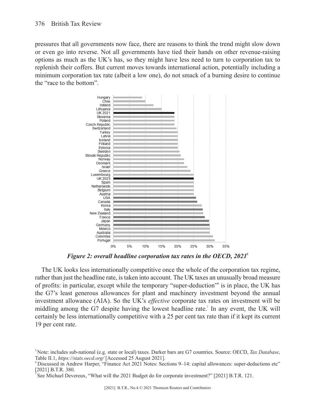pressures that all governments now face, there are reasons to think the trend might slow down or even go into reverse. Not all governments have tied their hands on other revenue-raising options as much as the UK's has, so they might have less need to turn to corporation tax to replenish their coffers. But current moves towards international action, potentially including a minimum corporation tax rate (albeit a low one), do not smack of a burning desire to continue the "race to the bottom".



*Figure 2: overall headline corporation tax rates in the OECD, 2021***<sup>5</sup>**

The UK looks less internationally competitive once the whole of the corporation tax regime, rather than just the headline rate, is taken into account. The UK taxes an unusually broad measure of profits: in particular, except while the temporary "super-deduction"6 is in place, the UK has the G7's least generous allowances for plant and machinery investment beyond the annual investment allowance (AIA). So the UK's *effective* corporate tax rates on investment will be middling among the G7 despite having the lowest headline rate.<sup>7</sup> In any event, the UK will certainly be less internationally competitive with a 25 per cent tax rate than if it kept its current 19 per cent rate.

<sup>5</sup> Note: includes sub-national (e.g. state or local) taxes. Darker bars are G7 countries. Source: OECD, *Tax Database*, Table II.1, *https://stats.oecd.org/* [Accessed 25 August 2021].

<sup>6</sup> Discussed in Andrew Harper, "Finance Act 2021 Notes: Sections 9–14: capital allowances: super-deductions etc" [2021] B.T.R. 380.

<sup>7</sup> See Michael Devereux, "What will the 2021 Budget do for corporate investment?" [2021] B.T.R. 121.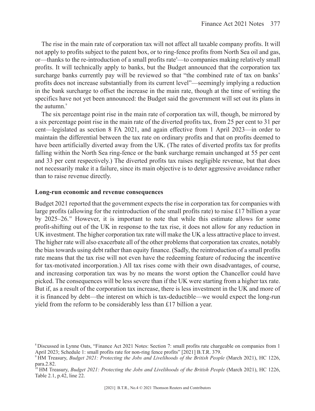The rise in the main rate of corporation tax will not affect all taxable company profits. It will not apply to profits subject to the patent box, or to ring-fence profits from North Sea oil and gas, or—thanks to the re-introduction of a small profits rate<sup>8</sup>—to companies making relatively small profits. It will technically apply to banks, but the Budget announced that the corporation tax surcharge banks currently pay will be reviewed so that "the combined rate of tax on banks' profits does not increase substantially from its current level"—seemingly implying a reduction in the bank surcharge to offset the increase in the main rate, though at the time of writing the specifics have not yet been announced: the Budget said the government will set out its plans in the autumn.<sup>9</sup>

The six percentage point rise in the main rate of corporation tax will, though, be mirrored by a six percentage point rise in the main rate of the diverted profits tax, from 25 per cent to 31 per cent—legislated as section 8 FA 2021, and again effective from 1 April 2023—in order to maintain the differential between the tax rate on ordinary profits and that on profits deemed to have been artificially diverted away from the UK. (The rates of diverted profits tax for profits falling within the North Sea ring-fence or the bank surcharge remain unchanged at 55 per cent and 33 per cent respectively.) The diverted profits tax raises negligible revenue, but that does not necessarily make it a failure, since its main objective is to deter aggressive avoidance rather than to raise revenue directly.

#### **Long-run economic and revenue consequences**

Budget 2021 reported that the government expects the rise in corporation tax for companies with large profits (allowing for the reintroduction of the small profits rate) to raise £17 billion a year by  $2025-26$ .<sup>10</sup> However, it is important to note that while this estimate allows for some profit-shifting out of the UK in response to the tax rise, it does not allow for any reduction in UK investment. The higher corporation tax rate will make the UK a less attractive place to invest. The higher rate will also exacerbate all of the other problems that corporation tax creates, notably the bias towards using debt rather than equity finance. (Sadly, the reintroduction of a small profits rate means that the tax rise will not even have the redeeming feature of reducing the incentive for tax-motivated incorporation.) All tax rises come with their own disadvantages, of course, and increasing corporation tax was by no means the worst option the Chancellor could have picked. The consequences will be less severe than if the UK were starting from a higher tax rate. But if, as a result of the corporation tax increase, there is less investment in the UK and more of it is financed by debt—the interest on which is tax-deductible—we would expect the long-run yield from the reform to be considerably less than £17 billion a year.

<sup>8</sup> Discussed in Lynne Oats, "Finance Act 2021 Notes: Section 7: small profits rate chargeable on companies from 1 April 2023; Schedule 1: small profits rate for non-ring fence profits" [2021] B.T.R. 379.

<sup>&</sup>lt;sup>9</sup> HM Treasury, *Budget 2021: Protecting the Jobs and Livelihoods of the British People* (March 2021), HC 1226, para.2.82.

<sup>&</sup>lt;sup>10</sup> HM Treasury, *Budget 2021: Protecting the Jobs and Livelihoods of the British People* (March 2021), HC 1226, Table 2.1, p.42, line 22.